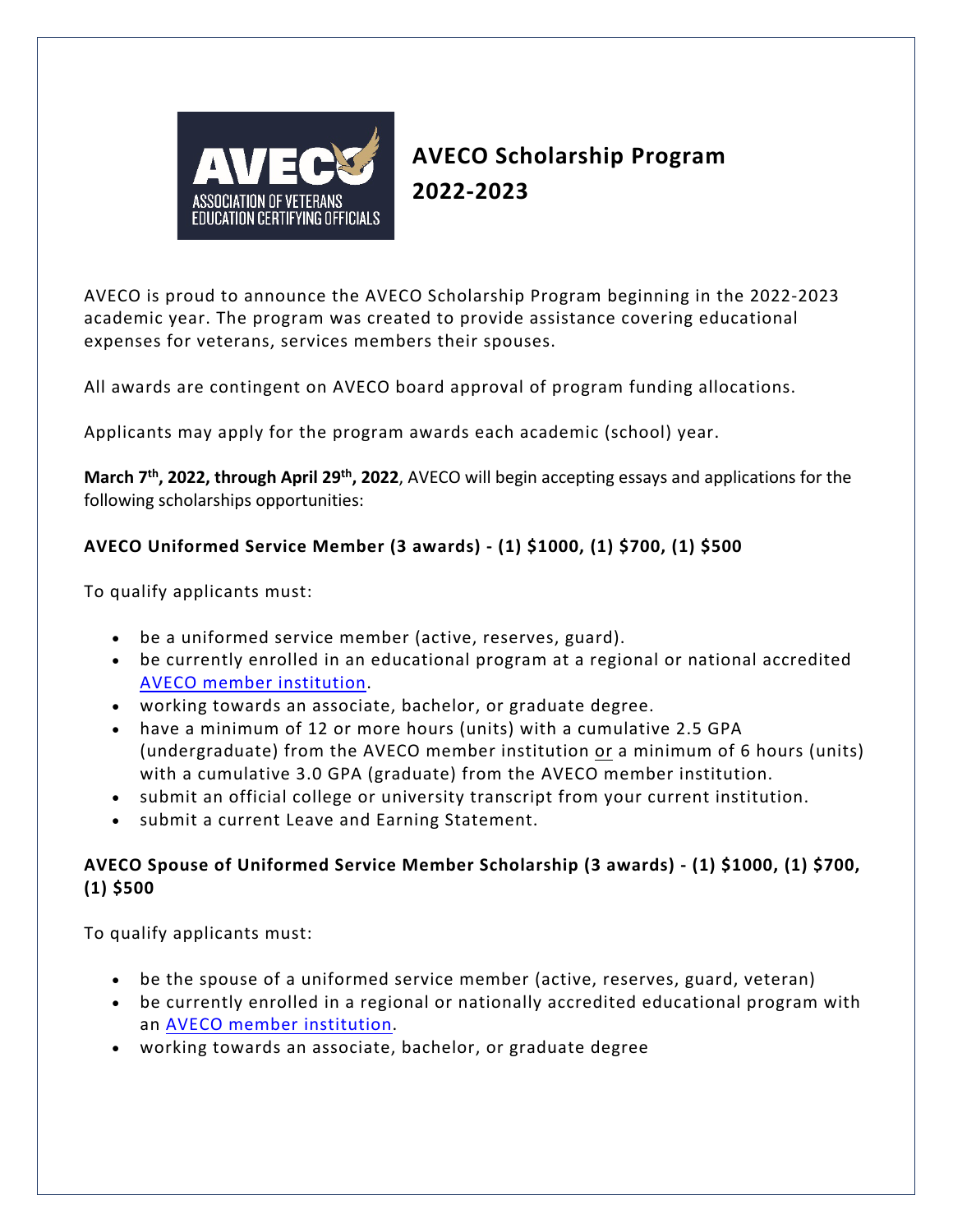

# **AVECO Scholarship Program 2022-2023**

AVECO is proud to announce the AVECO Scholarship Program beginning in the 2022-2023 academic year. The program was created to provide assistance covering educational expenses for veterans, services members their spouses.

All awards are contingent on AVECO board approval of program funding allocations.

Applicants may apply for the program awards each academic (school) year.

**March 7th, 2022, through April 29th, 2022**, AVECO will begin accepting essays and applications for the following scholarships opportunities:

## **AVECO Uniformed Service Member (3 awards) - (1) \$1000, (1) \$700, (1) \$500**

To qualify applicants must:

- be a uniformed service member (active, reserves, guard).
- be currently enrolled in an educational program at a regional or national accredited [AVECO member institution.](https://www.aveco.org/_files/ugd/82bd48_8532bd10bd2940a295d29425b19c1e67.pdf)
- working towards an associate, bachelor, or graduate degree.
- have a minimum of 12 or more hours (units) with a cumulative 2.5 GPA (undergraduate) from the AVECO member institution or a minimum of 6 hours (units) with a cumulative 3.0 GPA (graduate) from the AVECO member institution.
- submit an official college or university transcript from your current institution.
- submit a current Leave and Earning Statement.

#### **AVECO Spouse of Uniformed Service Member Scholarship (3 awards) - (1) \$1000, (1) \$700, (1) \$500**

To qualify applicants must:

- be the spouse of a uniformed service member (active, reserves, guard, veteran)
- be currently enrolled in a regional or nationally accredited educational program with an [AVECO member institution.](https://www.aveco.org/_files/ugd/82bd48_8532bd10bd2940a295d29425b19c1e67.pdf)
- working towards an associate, bachelor, or graduate degree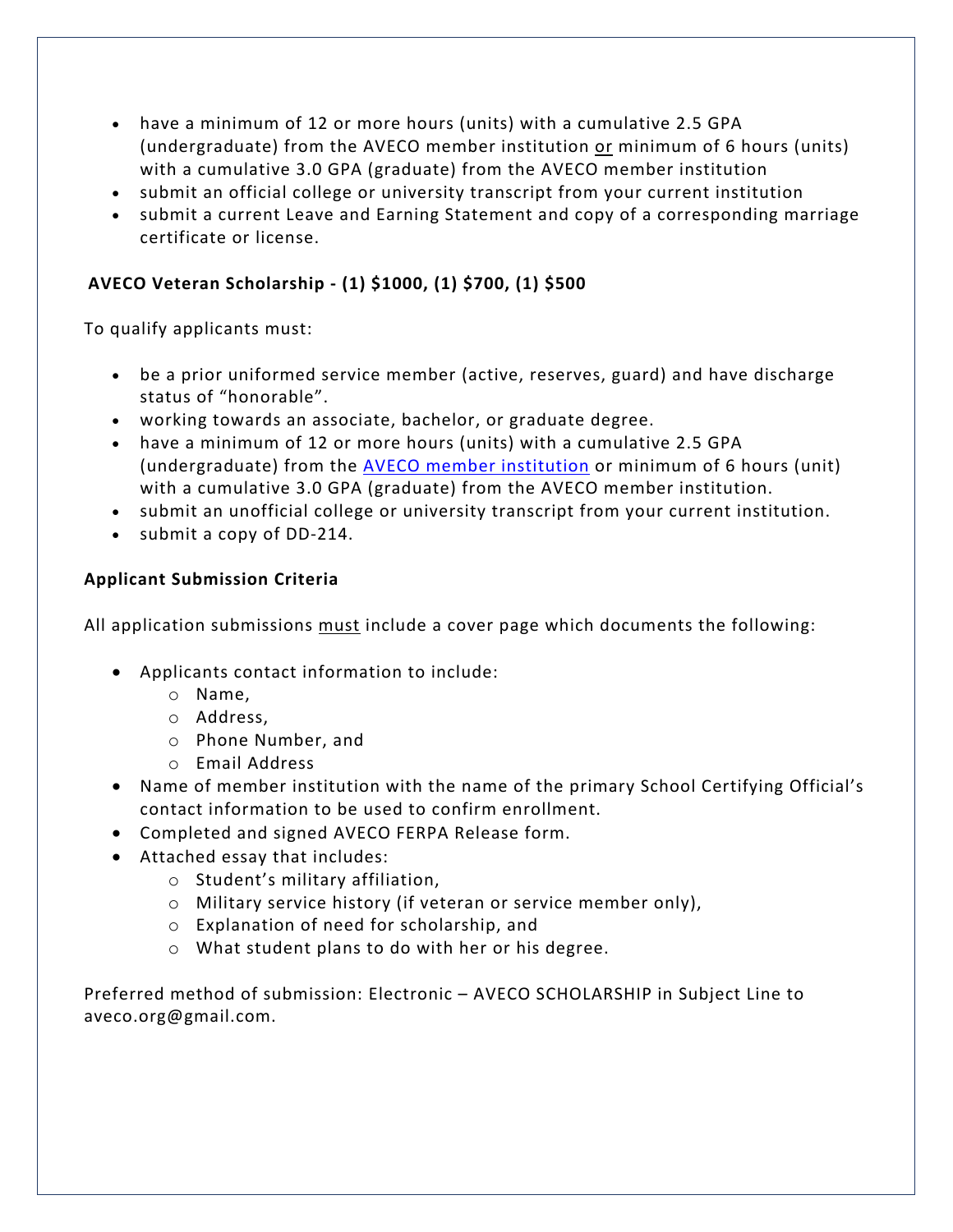- have a minimum of 12 or more hours (units) with a cumulative 2.5 GPA (undergraduate) from the AVECO member institution or minimum of 6 hours (units) with a cumulative 3.0 GPA (graduate) from the AVECO member institution
- submit an official college or university transcript from your current institution
- submit a current Leave and Earning Statement and copy of a corresponding marriage certificate or license.

### **AVECO Veteran Scholarship - (1) \$1000, (1) \$700, (1) \$500**

To qualify applicants must:

- be a prior uniformed service member (active, reserves, guard) and have discharge status of "honorable".
- working towards an associate, bachelor, or graduate degree.
- have a minimum of 12 or more hours (units) with a cumulative 2.5 GPA (undergraduate) from the [AVECO member institution](https://www.aveco.org/_files/ugd/82bd48_8532bd10bd2940a295d29425b19c1e67.pdf) or minimum of 6 hours (unit) with a cumulative 3.0 GPA (graduate) from the AVECO member institution.
- submit an unofficial college or university transcript from your current institution.
- submit a copy of DD-214.

#### **Applicant Submission Criteria**

All application submissions must include a cover page which documents the following:

- Applicants contact information to include:
	- o Name,
	- o Address,
	- o Phone Number, and
	- o Email Address
- Name of member institution with the name of the primary School Certifying Official's contact information to be used to confirm enrollment.
- Completed and signed AVECO FERPA Release form.
- Attached essay that includes:
	- o Student's military affiliation,
	- o Military service history (if veteran or service member only),
	- o Explanation of need for scholarship, and
	- o What student plans to do with her or his degree.

Preferred method of submission: Electronic – AVECO SCHOLARSHIP in Subject Line to aveco.org@gmail.com.